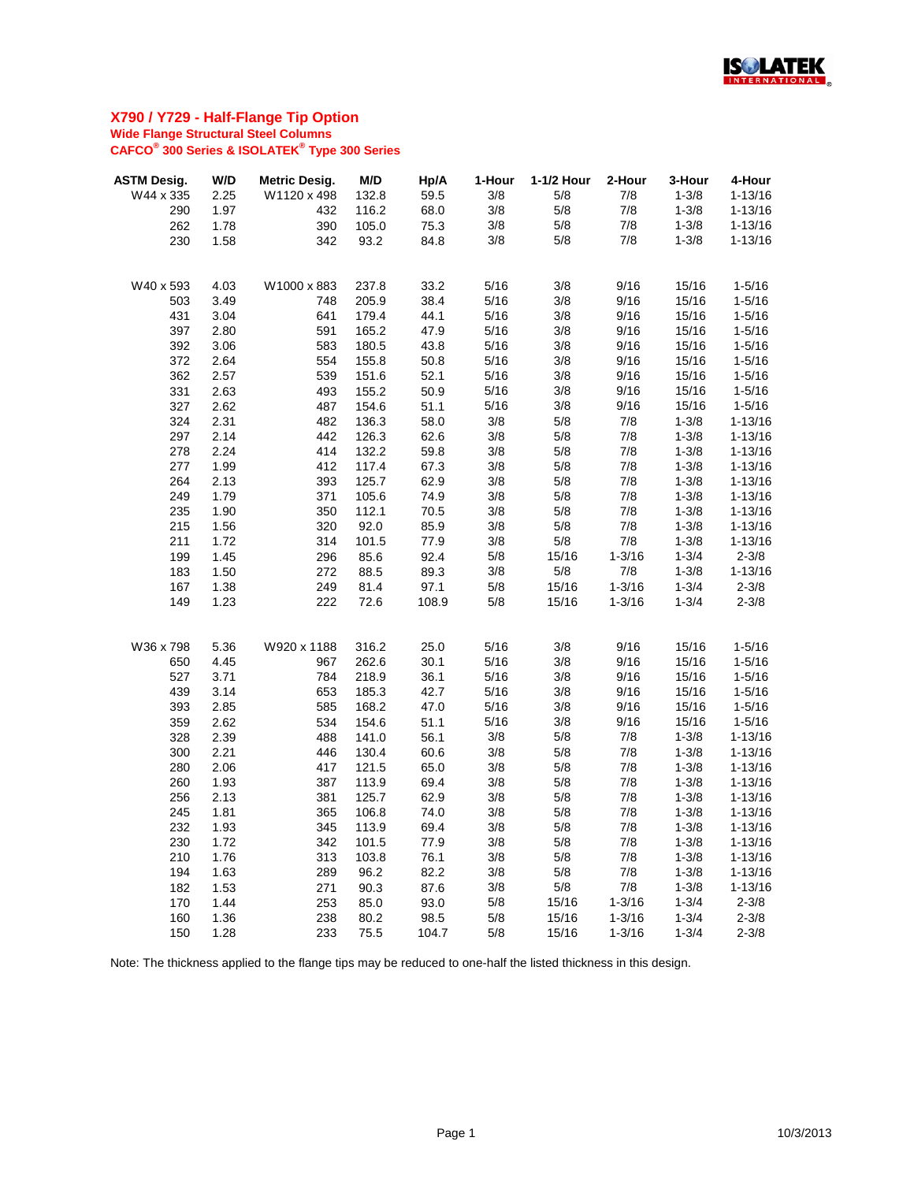

| <b>ASTM Desig.</b> | W/D  | <b>Metric Desig.</b> | M/D   | Hp/A  | 1-Hour | 1-1/2 Hour | 2-Hour     | 3-Hour    | 4-Hour      |
|--------------------|------|----------------------|-------|-------|--------|------------|------------|-----------|-------------|
| W44 x 335          | 2.25 | W1120 x 498          | 132.8 | 59.5  | 3/8    | 5/8        | 7/8        | $1 - 3/8$ | $1 - 13/16$ |
| 290                | 1.97 | 432                  | 116.2 | 68.0  | 3/8    | 5/8        | 7/8        | $1 - 3/8$ | $1 - 13/16$ |
| 262                | 1.78 | 390                  | 105.0 | 75.3  | 3/8    | 5/8        | 7/8        | $1 - 3/8$ | $1 - 13/16$ |
| 230                | 1.58 | 342                  | 93.2  | 84.8  | 3/8    | 5/8        | 7/8        | $1 - 3/8$ | $1 - 13/16$ |
|                    |      |                      |       |       |        |            |            |           |             |
| W40 x 593          | 4.03 | W1000 x 883          | 237.8 | 33.2  | 5/16   | 3/8        | 9/16       | 15/16     | $1 - 5/16$  |
| 503                | 3.49 | 748                  | 205.9 | 38.4  | 5/16   | 3/8        | 9/16       | 15/16     | $1 - 5/16$  |
| 431                | 3.04 | 641                  | 179.4 | 44.1  | 5/16   | 3/8        | 9/16       | 15/16     | $1 - 5/16$  |
| 397                | 2.80 | 591                  | 165.2 | 47.9  | 5/16   | 3/8        | 9/16       | 15/16     | $1 - 5/16$  |
| 392                | 3.06 | 583                  | 180.5 | 43.8  | 5/16   | 3/8        | 9/16       | 15/16     | $1 - 5/16$  |
| 372                | 2.64 | 554                  | 155.8 | 50.8  | 5/16   | 3/8        | 9/16       | 15/16     | $1 - 5/16$  |
| 362                | 2.57 | 539                  | 151.6 | 52.1  | 5/16   | 3/8        | 9/16       | 15/16     | $1 - 5/16$  |
| 331                | 2.63 | 493                  | 155.2 | 50.9  | 5/16   | 3/8        | 9/16       | 15/16     | $1 - 5/16$  |
| 327                | 2.62 | 487                  | 154.6 | 51.1  | 5/16   | 3/8        | 9/16       | 15/16     | $1 - 5/16$  |
| 324                | 2.31 | 482                  | 136.3 | 58.0  | 3/8    | 5/8        | 7/8        | $1 - 3/8$ | $1 - 13/16$ |
| 297                | 2.14 | 442                  | 126.3 | 62.6  | 3/8    | 5/8        | 7/8        | $1 - 3/8$ | $1 - 13/16$ |
| 278                | 2.24 | 414                  | 132.2 | 59.8  | 3/8    | 5/8        | 7/8        | $1 - 3/8$ | $1 - 13/16$ |
| 277                | 1.99 | 412                  | 117.4 | 67.3  | 3/8    | 5/8        | 7/8        | $1 - 3/8$ | $1 - 13/16$ |
| 264                | 2.13 | 393                  | 125.7 | 62.9  | 3/8    | 5/8        | 7/8        | $1 - 3/8$ | $1 - 13/16$ |
| 249                | 1.79 | 371                  | 105.6 | 74.9  | 3/8    | 5/8        | 7/8        | $1 - 3/8$ | $1 - 13/16$ |
| 235                | 1.90 | 350                  | 112.1 | 70.5  | 3/8    | 5/8        | 7/8        | $1 - 3/8$ | $1 - 13/16$ |
| 215                | 1.56 | 320                  | 92.0  | 85.9  | 3/8    | 5/8        | 7/8        | $1 - 3/8$ | $1 - 13/16$ |
| 211                | 1.72 | 314                  | 101.5 | 77.9  | 3/8    | 5/8        | 7/8        | $1 - 3/8$ | $1 - 13/16$ |
| 199                | 1.45 | 296                  | 85.6  | 92.4  | 5/8    | 15/16      | $1 - 3/16$ | $1 - 3/4$ | $2 - 3/8$   |
| 183                | 1.50 | 272                  | 88.5  | 89.3  | 3/8    | 5/8        | 7/8        | $1 - 3/8$ | $1 - 13/16$ |
| 167                | 1.38 | 249                  | 81.4  | 97.1  | 5/8    | 15/16      | $1 - 3/16$ | $1 - 3/4$ | $2 - 3/8$   |
| 149                | 1.23 | 222                  | 72.6  | 108.9 | 5/8    | 15/16      | $1 - 3/16$ | $1 - 3/4$ | $2 - 3/8$   |
|                    |      |                      |       |       |        |            |            |           |             |
| W36 x 798          | 5.36 | W920 x 1188          | 316.2 | 25.0  | 5/16   | 3/8        | 9/16       | 15/16     | $1 - 5/16$  |
| 650                | 4.45 | 967                  | 262.6 | 30.1  | 5/16   | 3/8        | 9/16       | 15/16     | $1 - 5/16$  |
| 527                | 3.71 | 784                  | 218.9 | 36.1  | 5/16   | 3/8        | 9/16       | 15/16     | $1 - 5/16$  |
| 439                | 3.14 | 653                  | 185.3 | 42.7  | 5/16   | 3/8        | 9/16       | 15/16     | $1 - 5/16$  |
| 393                | 2.85 | 585                  | 168.2 | 47.0  | 5/16   | 3/8        | 9/16       | 15/16     | $1 - 5/16$  |
| 359                | 2.62 | 534                  | 154.6 | 51.1  | 5/16   | 3/8        | 9/16       | 15/16     | $1 - 5/16$  |
| 328                | 2.39 | 488                  | 141.0 | 56.1  | 3/8    | 5/8        | 7/8        | $1 - 3/8$ | $1 - 13/16$ |
| 300                | 2.21 | 446                  | 130.4 | 60.6  | 3/8    | 5/8        | 7/8        | $1 - 3/8$ | $1 - 13/16$ |
| 280                | 2.06 | 417                  | 121.5 | 65.0  | 3/8    | 5/8        | 7/8        | $1 - 3/8$ | $1 - 13/16$ |
| 260                | 1.93 | 387                  | 113.9 | 69.4  | 3/8    | 5/8        | 7/8        | $1 - 3/8$ | $1 - 13/16$ |
| 256                | 2.13 | 381                  | 125.7 | 62.9  | 3/8    | 5/8        | 7/8        | $1 - 3/8$ | $1 - 13/16$ |
| 245                | 1.81 | 365                  | 106.8 | 74.0  | 3/8    | 5/8        | 7/8        | $1 - 3/8$ | $1 - 13/16$ |
| 232                | 1.93 | 345                  | 113.9 | 69.4  | 3/8    | 5/8        | 7/8        | $1 - 3/8$ | $1 - 13/16$ |
| 230                | 1.72 | 342                  | 101.5 | 77.9  | 3/8    | 5/8        | 7/8        | $1 - 3/8$ | $1 - 13/16$ |
| 210                | 1.76 | 313                  | 103.8 | 76.1  | 3/8    | 5/8        | 7/8        | $1 - 3/8$ | $1 - 13/16$ |
| 194                | 1.63 | 289                  | 96.2  | 82.2  | 3/8    | 5/8        | 7/8        | $1 - 3/8$ | $1 - 13/16$ |
| 182                | 1.53 | 271                  | 90.3  | 87.6  | 3/8    | $5/8$      | 7/8        | $1 - 3/8$ | $1 - 13/16$ |
| 170                | 1.44 | 253                  | 85.0  | 93.0  | 5/8    | 15/16      | $1 - 3/16$ | $1 - 3/4$ | $2 - 3/8$   |
| 160                | 1.36 | 238                  | 80.2  | 98.5  | 5/8    | 15/16      | $1 - 3/16$ | $1 - 3/4$ | $2 - 3/8$   |
| 150                | 1.28 | 233                  | 75.5  | 104.7 | 5/8    | 15/16      | $1 - 3/16$ | $1 - 3/4$ | $2 - 3/8$   |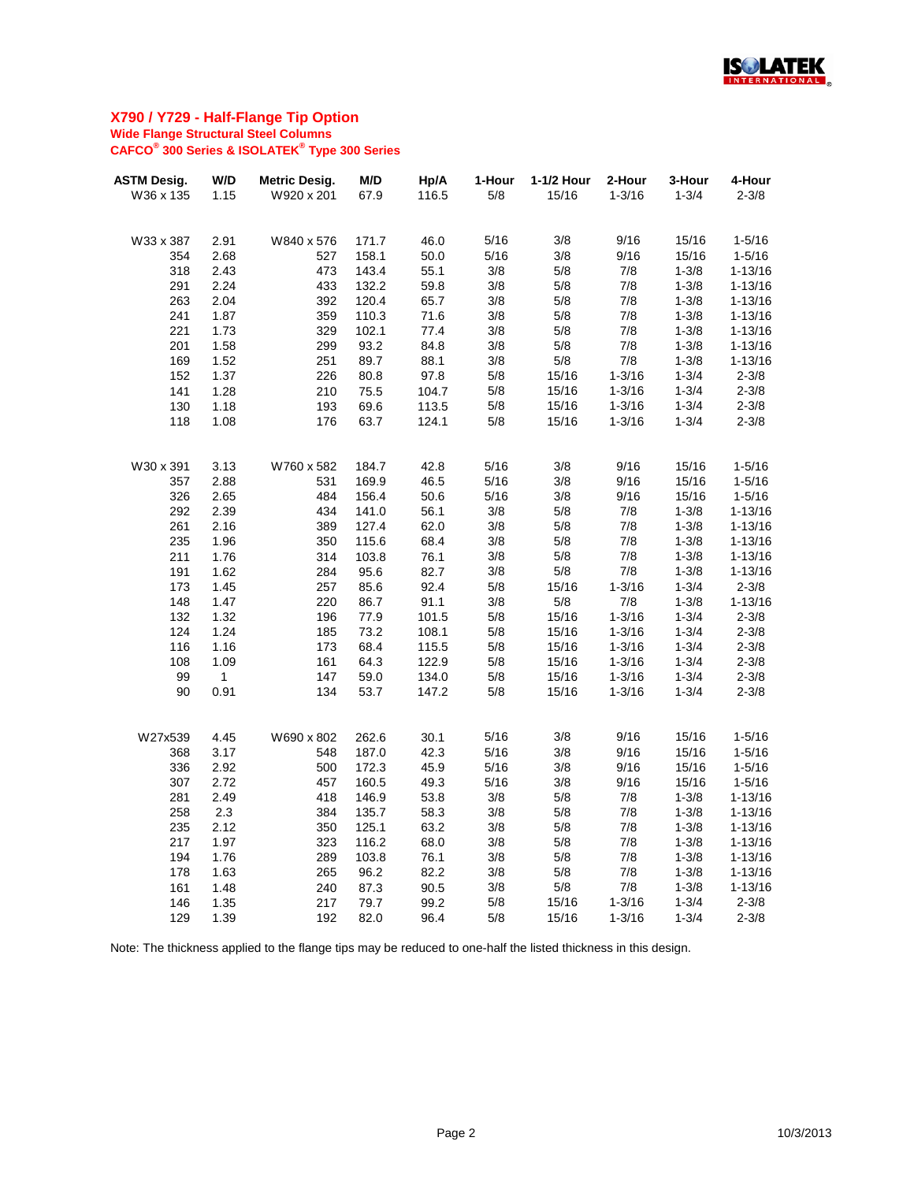

| <b>ASTM Desig.</b> | W/D         | <b>Metric Desig.</b> | M/D   | Hp/A  | 1-Hour | 1-1/2 Hour | 2-Hour     | 3-Hour    | 4-Hour      |
|--------------------|-------------|----------------------|-------|-------|--------|------------|------------|-----------|-------------|
| W36 x 135          | 1.15        | W920 x 201           | 67.9  | 116.5 | 5/8    | 15/16      | $1 - 3/16$ | $1 - 3/4$ | $2 - 3/8$   |
|                    |             |                      |       |       |        |            |            |           |             |
| W33 x 387          | 2.91        | W840 x 576           | 171.7 | 46.0  | 5/16   | 3/8        | 9/16       | 15/16     | $1 - 5/16$  |
| 354                | 2.68        | 527                  | 158.1 | 50.0  | 5/16   | 3/8        | 9/16       | 15/16     | $1 - 5/16$  |
| 318                | 2.43        | 473                  | 143.4 | 55.1  | 3/8    | 5/8        | 7/8        | $1 - 3/8$ | $1 - 13/16$ |
| 291                | 2.24        | 433                  | 132.2 | 59.8  | 3/8    | 5/8        | 7/8        | $1 - 3/8$ | $1 - 13/16$ |
| 263                | 2.04        | 392                  | 120.4 | 65.7  | 3/8    | 5/8        | 7/8        | $1 - 3/8$ | $1 - 13/16$ |
| 241                | 1.87        | 359                  | 110.3 | 71.6  | 3/8    | 5/8        | 7/8        | $1 - 3/8$ | $1 - 13/16$ |
| 221                | 1.73        | 329                  | 102.1 | 77.4  | 3/8    | 5/8        | 7/8        | $1 - 3/8$ | $1 - 13/16$ |
| 201                | 1.58        | 299                  | 93.2  | 84.8  | 3/8    | 5/8        | 7/8        | $1 - 3/8$ | $1 - 13/16$ |
| 169                | 1.52        | 251                  | 89.7  | 88.1  | 3/8    | 5/8        | 7/8        | $1 - 3/8$ | $1 - 13/16$ |
| 152                | 1.37        | 226                  | 80.8  | 97.8  | 5/8    | 15/16      | $1 - 3/16$ | $1 - 3/4$ | $2 - 3/8$   |
| 141                | 1.28        | 210                  | 75.5  | 104.7 | 5/8    | 15/16      | $1 - 3/16$ | $1 - 3/4$ | $2 - 3/8$   |
| 130                | 1.18        | 193                  | 69.6  | 113.5 | 5/8    | 15/16      | $1 - 3/16$ | $1 - 3/4$ | $2 - 3/8$   |
| 118                | 1.08        | 176                  | 63.7  | 124.1 | 5/8    | 15/16      | $1 - 3/16$ | $1 - 3/4$ | $2 - 3/8$   |
|                    |             |                      |       |       |        |            |            |           |             |
| W30 x 391          | 3.13        | W760 x 582           | 184.7 | 42.8  | 5/16   | 3/8        | 9/16       | 15/16     | $1 - 5/16$  |
| 357                | 2.88        | 531                  | 169.9 | 46.5  | 5/16   | 3/8        | 9/16       | 15/16     | $1 - 5/16$  |
| 326                | 2.65        | 484                  | 156.4 | 50.6  | 5/16   | 3/8        | 9/16       | 15/16     | $1 - 5/16$  |
| 292                | 2.39        | 434                  | 141.0 | 56.1  | 3/8    | 5/8        | 7/8        | $1 - 3/8$ | $1 - 13/16$ |
| 261                | 2.16        | 389                  | 127.4 | 62.0  | 3/8    | 5/8        | 7/8        | $1 - 3/8$ | $1 - 13/16$ |
| 235                | 1.96        | 350                  | 115.6 | 68.4  | 3/8    | 5/8        | 7/8        | $1 - 3/8$ | $1 - 13/16$ |
| 211                | 1.76        | 314                  | 103.8 | 76.1  | 3/8    | 5/8        | 7/8        | $1 - 3/8$ | $1 - 13/16$ |
| 191                | 1.62        | 284                  | 95.6  | 82.7  | 3/8    | 5/8        | 7/8        | $1 - 3/8$ | $1 - 13/16$ |
| 173                | 1.45        | 257                  | 85.6  | 92.4  | 5/8    | 15/16      | $1 - 3/16$ | $1 - 3/4$ | $2 - 3/8$   |
| 148                | 1.47        | 220                  | 86.7  | 91.1  | 3/8    | 5/8        | 7/8        | $1 - 3/8$ | $1 - 13/16$ |
| 132                | 1.32        | 196                  | 77.9  | 101.5 | 5/8    | 15/16      | $1 - 3/16$ | $1 - 3/4$ | $2 - 3/8$   |
| 124                | 1.24        | 185                  | 73.2  | 108.1 | 5/8    | 15/16      | $1 - 3/16$ | $1 - 3/4$ | $2 - 3/8$   |
| 116                | 1.16        | 173                  | 68.4  | 115.5 | 5/8    | 15/16      | $1 - 3/16$ | $1 - 3/4$ | $2 - 3/8$   |
| 108                | 1.09        | 161                  | 64.3  | 122.9 | 5/8    | 15/16      | $1 - 3/16$ | $1 - 3/4$ | $2 - 3/8$   |
| 99                 | $\mathbf 1$ | 147                  | 59.0  | 134.0 | 5/8    | 15/16      | $1 - 3/16$ | $1 - 3/4$ | $2 - 3/8$   |
| 90                 | 0.91        | 134                  | 53.7  | 147.2 | 5/8    | 15/16      | $1 - 3/16$ | $1 - 3/4$ | $2 - 3/8$   |
|                    |             |                      |       |       |        |            |            |           |             |
| W27x539            | 4.45        | W690 x 802           | 262.6 | 30.1  | 5/16   | 3/8        | 9/16       | 15/16     | $1 - 5/16$  |
| 368                | 3.17        | 548                  | 187.0 | 42.3  | 5/16   | 3/8        | 9/16       | 15/16     | $1 - 5/16$  |
| 336                | 2.92        | 500                  | 172.3 | 45.9  | 5/16   | 3/8        | 9/16       | 15/16     | $1 - 5/16$  |
| 307                | 2.72        | 457                  | 160.5 | 49.3  | 5/16   | 3/8        | 9/16       | 15/16     | $1 - 5/16$  |
| 281                | 2.49        | 418                  | 146.9 | 53.8  | 3/8    | 5/8        | 7/8        | $1 - 3/8$ | $1 - 13/16$ |
| 258                | 2.3         | 384                  | 135.7 | 58.3  | 3/8    | 5/8        | 7/8        | $1 - 3/8$ | $1 - 13/16$ |
| 235                | 2.12        | 350                  | 125.1 | 63.2  | 3/8    | 5/8        | 7/8        | $1 - 3/8$ | $1 - 13/16$ |
| 217                | 1.97        | 323                  | 116.2 | 68.0  | 3/8    | 5/8        | 7/8        | $1 - 3/8$ | $1 - 13/16$ |
| 194                | 1.76        | 289                  | 103.8 | 76.1  | 3/8    | 5/8        | 7/8        | $1 - 3/8$ | $1 - 13/16$ |
| 178                | 1.63        | 265                  | 96.2  | 82.2  | 3/8    | 5/8        | 7/8        | $1 - 3/8$ | $1 - 13/16$ |
| 161                | 1.48        | 240                  | 87.3  | 90.5  | 3/8    | 5/8        | 7/8        | $1 - 3/8$ | $1 - 13/16$ |
| 146                | 1.35        | 217                  | 79.7  | 99.2  | 5/8    | 15/16      | $1 - 3/16$ | $1 - 3/4$ | $2 - 3/8$   |
| 129                | 1.39        | 192                  | 82.0  | 96.4  | 5/8    | 15/16      | $1 - 3/16$ | $1 - 3/4$ | $2 - 3/8$   |
|                    |             |                      |       |       |        |            |            |           |             |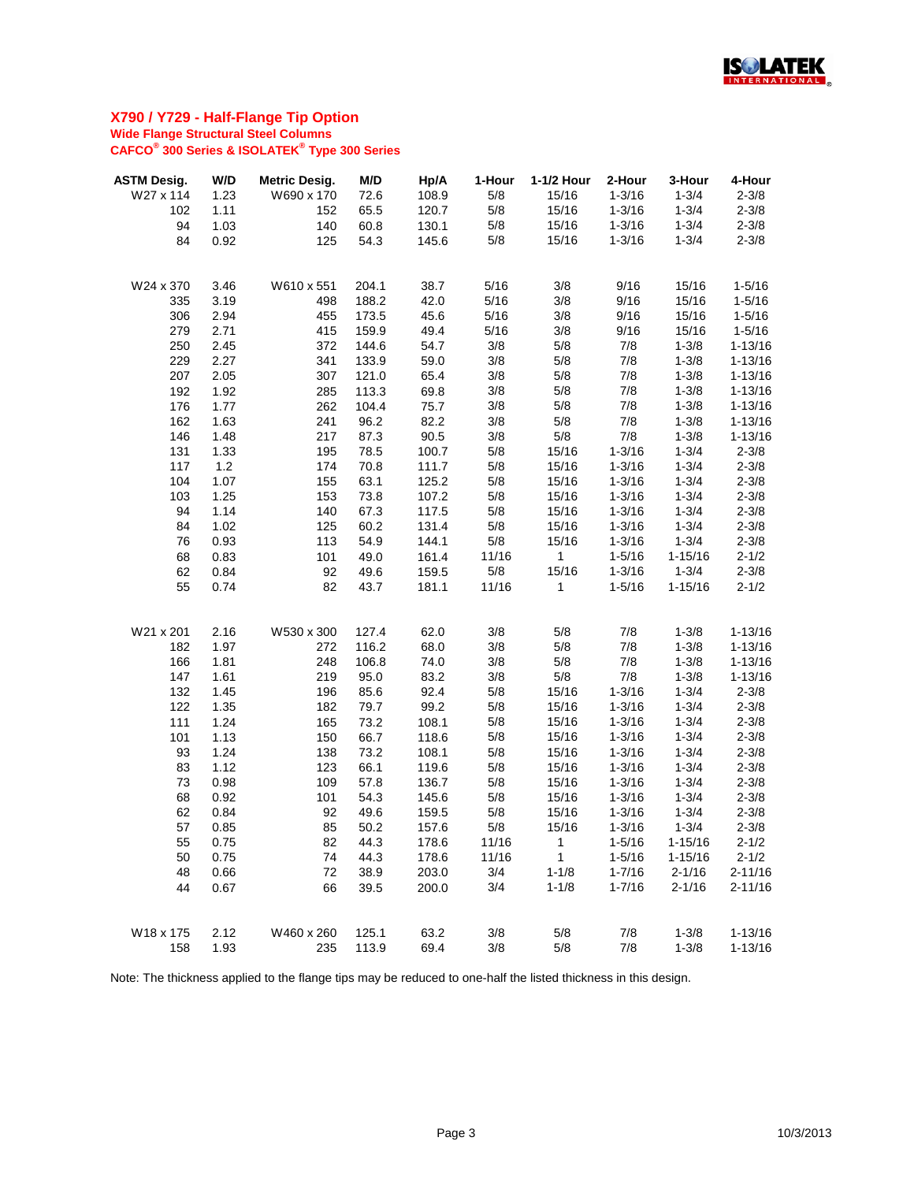

| <b>ASTM Desig.</b> | W/D          | <b>Metric Desig.</b> | M/D            | Hp/A         | 1-Hour     | 1-1/2 Hour   | 2-Hour     | 3-Hour                 | 4-Hour                     |
|--------------------|--------------|----------------------|----------------|--------------|------------|--------------|------------|------------------------|----------------------------|
| W27 x 114          | 1.23         | W690 x 170           | 72.6           | 108.9        | 5/8        | 15/16        | $1 - 3/16$ | $1 - 3/4$              | $2 - 3/8$                  |
| 102                | 1.11         | 152                  | 65.5           | 120.7        | 5/8        | 15/16        | $1 - 3/16$ | $1 - 3/4$              | $2 - 3/8$                  |
| 94                 | 1.03         | 140                  | 60.8           | 130.1        | 5/8        | 15/16        | $1 - 3/16$ | $1 - 3/4$              | $2 - 3/8$                  |
| 84                 | 0.92         | 125                  | 54.3           | 145.6        | 5/8        | 15/16        | $1 - 3/16$ | $1 - 3/4$              | $2 - 3/8$                  |
|                    |              |                      |                |              |            |              |            |                        |                            |
| W24 x 370          | 3.46         | W610 x 551           | 204.1          | 38.7         | 5/16       | 3/8          | 9/16       | 15/16                  | $1 - 5/16$                 |
| 335                | 3.19         | 498                  | 188.2          | 42.0         | 5/16       | 3/8          | 9/16       | 15/16                  | $1 - 5/16$                 |
| 306                | 2.94         | 455                  | 173.5          | 45.6         | 5/16       | 3/8          | 9/16       | 15/16                  | $1 - 5/16$                 |
| 279                | 2.71         | 415                  | 159.9          | 49.4         | 5/16       | 3/8          | 9/16       | 15/16                  | $1 - 5/16$                 |
| 250                | 2.45         | 372                  | 144.6          | 54.7         | 3/8        | 5/8          | 7/8        | $1 - 3/8$              | $1 - 13/16$                |
| 229                | 2.27         | 341                  | 133.9          | 59.0         | 3/8        | 5/8          | 7/8        | $1 - 3/8$              | $1 - 13/16$                |
| 207                | 2.05         | 307                  | 121.0          | 65.4         | 3/8        | 5/8          | 7/8        | $1 - 3/8$              | $1 - 13/16$                |
| 192                | 1.92         | 285                  | 113.3          | 69.8         | 3/8        | 5/8          | 7/8        | $1 - 3/8$              | $1 - 13/16$                |
| 176                | 1.77         | 262                  | 104.4          | 75.7         | 3/8        | 5/8          | 7/8        | $1 - 3/8$              | $1 - 13/16$                |
| 162                | 1.63         | 241                  | 96.2           | 82.2         | 3/8        | 5/8          | 7/8        | $1 - 3/8$              | $1 - 13/16$                |
| 146                | 1.48         | 217                  | 87.3           | 90.5         | 3/8        | 5/8          | 7/8        | $1 - 3/8$              | $1 - 13/16$                |
| 131                | 1.33         | 195                  | 78.5           | 100.7        | 5/8        | 15/16        | $1 - 3/16$ | $1 - 3/4$              | $2 - 3/8$                  |
| 117                | 1.2          | 174                  | 70.8           | 111.7        | 5/8        | 15/16        | $1 - 3/16$ | $1 - 3/4$              | $2 - 3/8$                  |
| 104                | 1.07         | 155                  | 63.1           | 125.2        | 5/8        | 15/16        | $1 - 3/16$ | $1 - 3/4$              | $2 - 3/8$                  |
| 103                | 1.25         | 153                  | 73.8           | 107.2        | 5/8        | 15/16        | $1 - 3/16$ | $1 - 3/4$              | $2 - 3/8$                  |
| 94                 | 1.14         | 140                  | 67.3           | 117.5        | 5/8        | 15/16        | $1 - 3/16$ | $1 - 3/4$              | $2 - 3/8$                  |
| 84                 | 1.02         | 125                  | 60.2           | 131.4        | 5/8        | 15/16        | $1 - 3/16$ | $1 - 3/4$              | $2 - 3/8$                  |
| 76                 | 0.93         | 113                  | 54.9           | 144.1        | 5/8        | 15/16        | $1 - 3/16$ | $1 - 3/4$              | $2 - 3/8$                  |
| 68                 | 0.83         | 101                  | 49.0           | 161.4        | 11/16      | $\mathbf{1}$ | $1 - 5/16$ | $1 - 15/16$            | $2 - 1/2$                  |
| 62                 | 0.84         | 92                   | 49.6           | 159.5        | 5/8        | 15/16        | $1 - 3/16$ | $1 - 3/4$              | $2 - 3/8$                  |
| 55                 | 0.74         | 82                   | 43.7           | 181.1        | 11/16      | $\mathbf{1}$ | $1 - 5/16$ | $1 - 15/16$            | $2 - 1/2$                  |
| W21 x 201          | 2.16         | W530 x 300           | 127.4          | 62.0         | 3/8        | 5/8          | 7/8        | $1 - 3/8$              | $1 - 13/16$                |
| 182                | 1.97         | 272                  | 116.2          | 68.0         | 3/8        | 5/8          | 7/8        | $1 - 3/8$              | $1 - 13/16$                |
| 166                | 1.81         | 248                  | 106.8          | 74.0         | 3/8        | 5/8          | 7/8        | $1 - 3/8$              | $1 - 13/16$                |
| 147                | 1.61         | 219                  | 95.0           | 83.2         | 3/8        | 5/8          | 7/8        | $1 - 3/8$              | $1 - 13/16$                |
| 132                | 1.45         | 196                  | 85.6           | 92.4         | 5/8        | 15/16        | $1 - 3/16$ | $1 - 3/4$              | $2 - 3/8$                  |
| 122                | 1.35         | 182                  | 79.7           | 99.2         | 5/8        | 15/16        | $1 - 3/16$ | $1 - 3/4$              | $2 - 3/8$                  |
| 111                | 1.24         | 165                  | 73.2           | 108.1        | 5/8        | 15/16        | $1 - 3/16$ | $1 - 3/4$              | $2 - 3/8$                  |
| 101                | 1.13         | 150                  | 66.7           | 118.6        | 5/8        | 15/16        | $1 - 3/16$ | $1 - 3/4$              | $2 - 3/8$                  |
| 93                 | 1.24         | 138                  | 73.2           | 108.1        | 5/8        | 15/16        | $1 - 3/16$ | $1 - 3/4$              | $2 - 3/8$                  |
| 83                 | 1.12         | 123                  | 66.1           | 119.6        | 5/8        | 15/16        | $1 - 3/16$ | $1 - 3/4$              | $2 - 3/8$                  |
| 73                 | 0.98         | 109                  | 57.8           | 136.7        | 5/8        | 15/16        | $1 - 3/16$ | $1 - 3/4$              | $2 - 3/8$                  |
| 68                 | 0.92         | 101                  | 54.3           | 145.6        | 5/8        | 15/16        | $1 - 3/16$ | $1 - 3/4$              | $2 - 3/8$                  |
| 62                 | 0.84         | 92                   | 49.6           | 159.5        | 5/8        | 15/16        | $1 - 3/16$ | $1 - 3/4$              | $2 - 3/8$                  |
| 57                 | 0.85         | 85                   | 50.2           | 157.6        | 5/8        | 15/16        | $1 - 3/16$ | $1 - 3/4$              | $2 - 3/8$                  |
| 55                 | 0.75         | 82                   | 44.3           | 178.6        | 11/16      | 1            | $1 - 5/16$ | $1 - 15/16$            | $2 - 1/2$                  |
| 50                 | 0.75         | 74                   | 44.3           | 178.6        | 11/16      | 1            | $1 - 5/16$ | $1 - 15/16$            | $2 - 1/2$                  |
| 48                 | 0.66         | 72                   | 38.9           | 203.0        | 3/4        | $1 - 1/8$    | $1 - 7/16$ | $2 - 1/16$             | $2 - 11/16$                |
| 44                 | 0.67         | 66                   | 39.5           | 200.0        | 3/4        | $1 - 1/8$    | $1 - 7/16$ | $2 - 1/16$             | $2 - 11/16$                |
|                    |              |                      |                |              |            |              |            |                        |                            |
| W18 x 175<br>158   | 2.12<br>1.93 | W460 x 260<br>235    | 125.1<br>113.9 | 63.2<br>69.4 | 3/8<br>3/8 | 5/8<br>5/8   | 7/8<br>7/8 | $1 - 3/8$<br>$1 - 3/8$ | $1 - 13/16$<br>$1 - 13/16$ |
|                    |              |                      |                |              |            |              |            |                        |                            |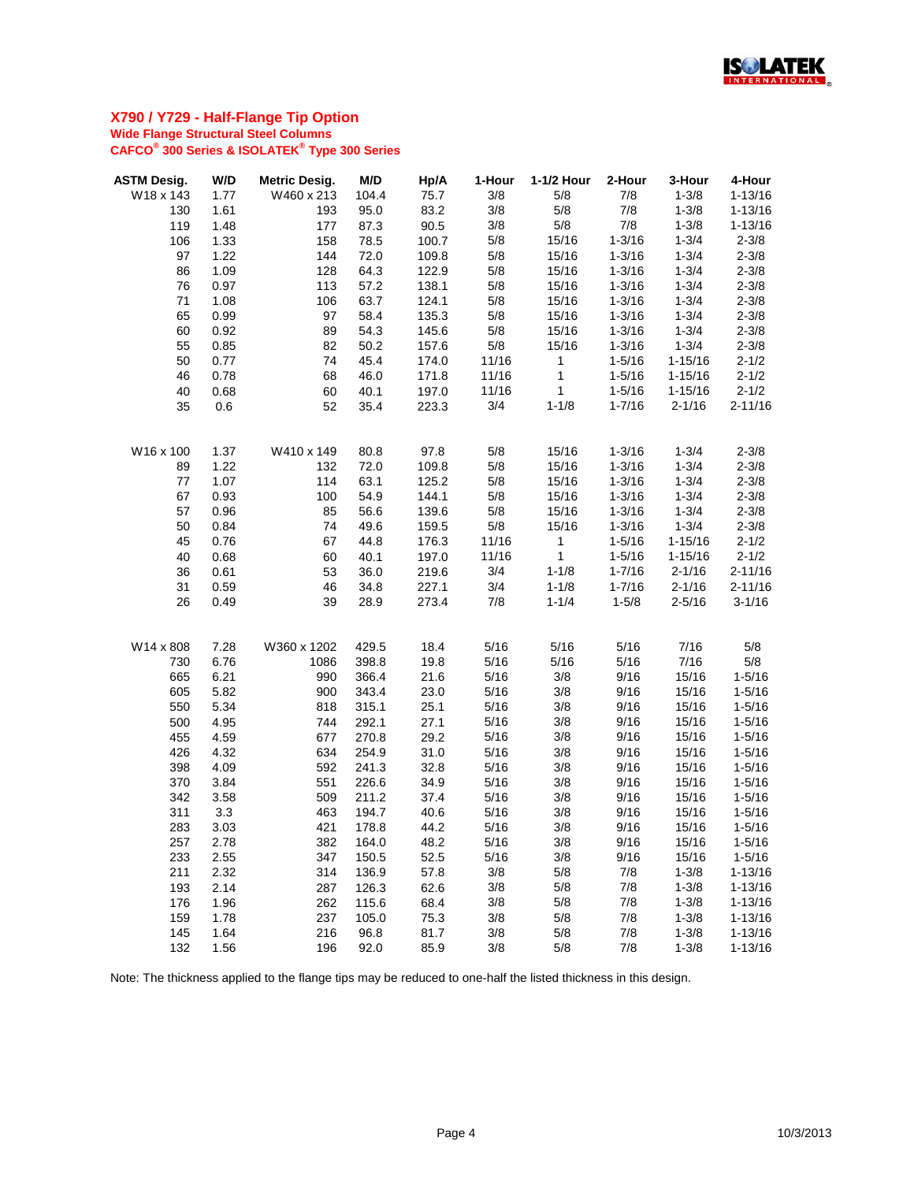

| <b>ASTM Desig.</b> | W/D  | <b>Metric Desig.</b> | M/D   | Hp/A  | 1-Hour | 1-1/2 Hour   | 2-Hour     | 3-Hour      | 4-Hour      |
|--------------------|------|----------------------|-------|-------|--------|--------------|------------|-------------|-------------|
| W18 x 143          | 1.77 | W460 x 213           | 104.4 | 75.7  | 3/8    | 5/8          | 7/8        | $1 - 3/8$   | $1 - 13/16$ |
| 130                | 1.61 | 193                  | 95.0  | 83.2  | 3/8    | 5/8          | 7/8        | $1 - 3/8$   | $1 - 13/16$ |
| 119                | 1.48 | 177                  | 87.3  | 90.5  | 3/8    | 5/8          | 7/8        | $1 - 3/8$   | $1 - 13/16$ |
| 106                | 1.33 | 158                  | 78.5  | 100.7 | 5/8    | 15/16        | $1 - 3/16$ | $1 - 3/4$   | $2 - 3/8$   |
| 97                 | 1.22 | 144                  | 72.0  | 109.8 | 5/8    | 15/16        | $1 - 3/16$ | $1 - 3/4$   | $2 - 3/8$   |
| 86                 | 1.09 | 128                  | 64.3  | 122.9 | 5/8    | 15/16        | $1 - 3/16$ | $1 - 3/4$   | $2 - 3/8$   |
| 76                 | 0.97 | 113                  | 57.2  | 138.1 | 5/8    | 15/16        | $1 - 3/16$ | $1 - 3/4$   | $2 - 3/8$   |
| 71                 | 1.08 | 106                  | 63.7  | 124.1 | 5/8    | 15/16        | $1 - 3/16$ | $1 - 3/4$   | $2 - 3/8$   |
| 65                 | 0.99 | 97                   | 58.4  | 135.3 | 5/8    | 15/16        | $1 - 3/16$ | $1 - 3/4$   | $2 - 3/8$   |
| 60                 | 0.92 | 89                   | 54.3  | 145.6 | 5/8    | 15/16        | $1 - 3/16$ | $1 - 3/4$   | $2 - 3/8$   |
| 55                 | 0.85 | 82                   | 50.2  | 157.6 | 5/8    | 15/16        | $1 - 3/16$ | $1 - 3/4$   | $2 - 3/8$   |
| 50                 | 0.77 | 74                   | 45.4  | 174.0 | 11/16  | $\mathbf{1}$ | $1 - 5/16$ | $1 - 15/16$ | $2 - 1/2$   |
| 46                 | 0.78 | 68                   | 46.0  | 171.8 | 11/16  | $\mathbf{1}$ | $1 - 5/16$ | $1 - 15/16$ | $2 - 1/2$   |
| 40                 | 0.68 | 60                   | 40.1  | 197.0 | 11/16  | $\mathbf{1}$ | $1 - 5/16$ | $1 - 15/16$ | $2 - 1/2$   |
| 35                 | 0.6  | 52                   | 35.4  | 223.3 | 3/4    | $1 - 1/8$    | $1 - 7/16$ | $2 - 1/16$  | $2 - 11/16$ |
|                    |      |                      |       |       |        |              |            |             |             |
| W16 x 100          | 1.37 | W410 x 149           | 80.8  | 97.8  | 5/8    | 15/16        | $1 - 3/16$ | $1 - 3/4$   | $2 - 3/8$   |
| 89                 | 1.22 | 132                  | 72.0  | 109.8 | 5/8    | 15/16        | $1 - 3/16$ | $1 - 3/4$   | $2 - 3/8$   |
| 77                 | 1.07 | 114                  | 63.1  | 125.2 | 5/8    | 15/16        | $1 - 3/16$ | $1 - 3/4$   | $2 - 3/8$   |
| 67                 | 0.93 | 100                  | 54.9  | 144.1 | 5/8    | 15/16        | $1 - 3/16$ | $1 - 3/4$   | $2 - 3/8$   |
| 57                 | 0.96 | 85                   | 56.6  | 139.6 | 5/8    | 15/16        | $1 - 3/16$ | $1 - 3/4$   | $2 - 3/8$   |
| 50                 | 0.84 | 74                   | 49.6  | 159.5 | 5/8    | 15/16        | $1 - 3/16$ | $1 - 3/4$   | $2 - 3/8$   |
| 45                 | 0.76 | 67                   | 44.8  | 176.3 | 11/16  | $\mathbf{1}$ | $1 - 5/16$ | $1 - 15/16$ | $2 - 1/2$   |
| 40                 | 0.68 | 60                   | 40.1  | 197.0 | 11/16  | $\mathbf{1}$ | $1 - 5/16$ | $1 - 15/16$ | $2 - 1/2$   |
| 36                 | 0.61 | 53                   | 36.0  | 219.6 | 3/4    | $1 - 1/8$    | $1 - 7/16$ | $2 - 1/16$  | $2 - 11/16$ |
| 31                 | 0.59 | 46                   | 34.8  | 227.1 | 3/4    | $1 - 1/8$    | $1 - 7/16$ | $2 - 1/16$  | $2 - 11/16$ |
| 26                 | 0.49 | 39                   | 28.9  | 273.4 | 7/8    | $1 - 1/4$    | $1 - 5/8$  | $2 - 5/16$  | $3 - 1/16$  |
| W14 x 808          | 7.28 | W360 x 1202          | 429.5 | 18.4  | 5/16   | 5/16         | 5/16       | 7/16        | 5/8         |
| 730                | 6.76 | 1086                 | 398.8 | 19.8  | 5/16   | 5/16         | 5/16       | 7/16        | 5/8         |
| 665                | 6.21 | 990                  | 366.4 | 21.6  | 5/16   | 3/8          | 9/16       | 15/16       | $1 - 5/16$  |
| 605                | 5.82 | 900                  | 343.4 | 23.0  | 5/16   | 3/8          | 9/16       | 15/16       | $1 - 5/16$  |
| 550                | 5.34 | 818                  | 315.1 | 25.1  | 5/16   | 3/8          | 9/16       | 15/16       | $1 - 5/16$  |
| 500                | 4.95 | 744                  | 292.1 | 27.1  | 5/16   | 3/8          | 9/16       | 15/16       | $1 - 5/16$  |
| 455                | 4.59 | 677                  | 270.8 | 29.2  | 5/16   | 3/8          | 9/16       | 15/16       | $1 - 5/16$  |
| 426                | 4.32 | 634                  | 254.9 | 31.0  | 5/16   | 3/8          | 9/16       | 15/16       | $1 - 5/16$  |
| 398                | 4.09 | 592                  | 241.3 | 32.8  | 5/16   | 3/8          | 9/16       | 15/16       | $1 - 5/16$  |
| 370                | 3.84 | 551                  | 226.6 | 34.9  | 5/16   | 3/8          | 9/16       | 15/16       | $1 - 5/16$  |
| 342                | 3.58 | 509                  | 211.2 | 37.4  | 5/16   | 3/8          | 9/16       | 15/16       | $1 - 5/16$  |
| 311                | 3.3  | 463                  | 194.7 | 40.6  | 5/16   | 3/8          | 9/16       | 15/16       | $1 - 5/16$  |
| 283                | 3.03 | 421                  | 178.8 | 44.2  | 5/16   | 3/8          | 9/16       | 15/16       | $1 - 5/16$  |
| 257                | 2.78 | 382                  | 164.0 | 48.2  | 5/16   | 3/8          | 9/16       | 15/16       | $1 - 5/16$  |
| 233                | 2.55 | 347                  | 150.5 | 52.5  | 5/16   | 3/8          | 9/16       | 15/16       | $1 - 5/16$  |
| 211                | 2.32 | 314                  | 136.9 | 57.8  | 3/8    | 5/8          | 7/8        | $1 - 3/8$   | $1 - 13/16$ |
| 193                | 2.14 | 287                  | 126.3 | 62.6  | 3/8    | 5/8          | 7/8        | $1 - 3/8$   | $1 - 13/16$ |
| 176                | 1.96 | 262                  | 115.6 | 68.4  | 3/8    | 5/8          | 7/8        | $1 - 3/8$   | $1 - 13/16$ |
| 159                | 1.78 | 237                  | 105.0 | 75.3  | 3/8    | 5/8          | 7/8        | $1 - 3/8$   | $1 - 13/16$ |
| 145                | 1.64 | 216                  | 96.8  | 81.7  | 3/8    | 5/8          | 7/8        | $1 - 3/8$   | $1 - 13/16$ |
| 132                | 1.56 | 196                  | 92.0  | 85.9  | 3/8    | 5/8          | 7/8        | $1 - 3/8$   | $1 - 13/16$ |
|                    |      |                      |       |       |        |              |            |             |             |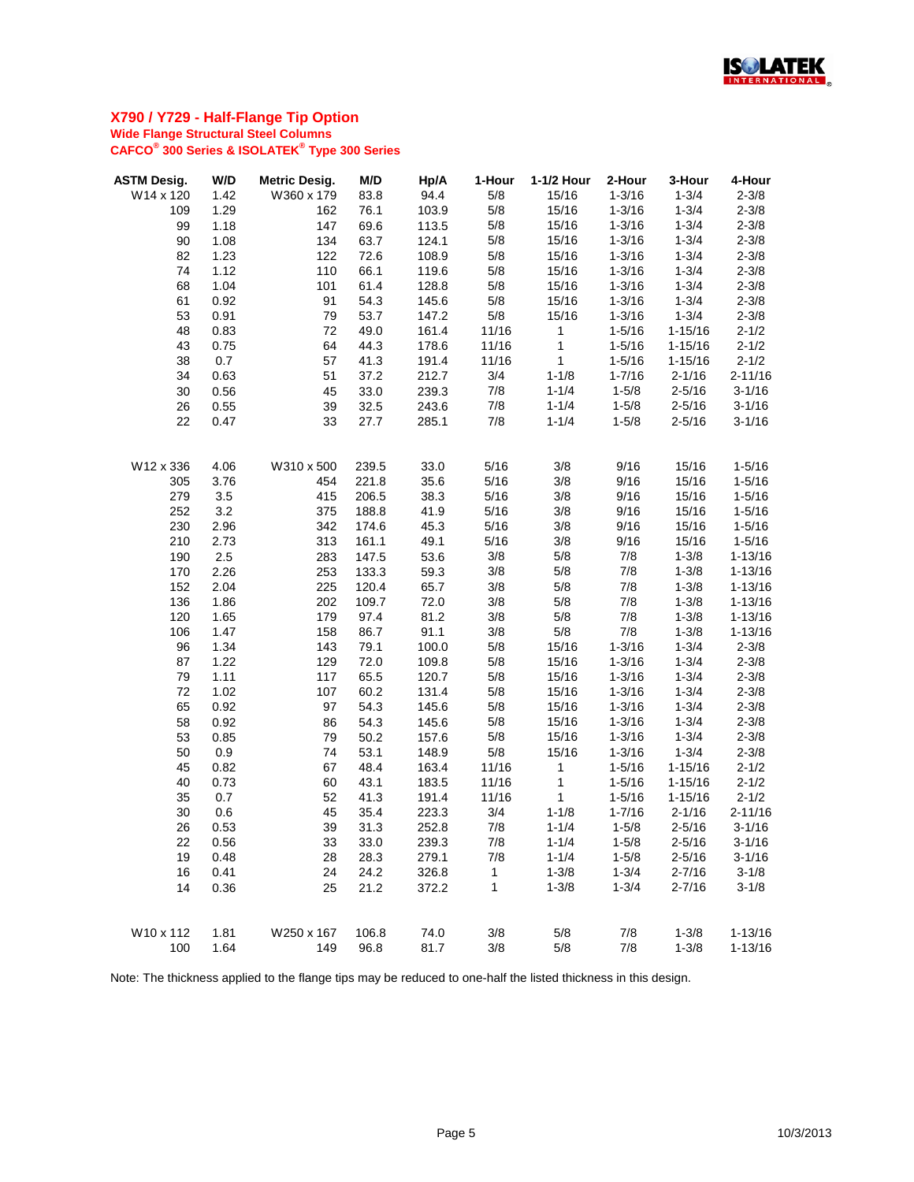

| <b>ASTM Desig.</b> | W/D  | <b>Metric Desig.</b> | M/D   | Hp/A  | 1-Hour | 1-1/2 Hour   | 2-Hour     | 3-Hour      | 4-Hour      |
|--------------------|------|----------------------|-------|-------|--------|--------------|------------|-------------|-------------|
| W14 x 120          | 1.42 | W360 x 179           | 83.8  | 94.4  | 5/8    | 15/16        | $1 - 3/16$ | $1 - 3/4$   | $2 - 3/8$   |
| 109                | 1.29 | 162                  | 76.1  | 103.9 | 5/8    | 15/16        | $1 - 3/16$ | $1 - 3/4$   | $2 - 3/8$   |
| 99                 | 1.18 | 147                  | 69.6  | 113.5 | 5/8    | 15/16        | $1 - 3/16$ | $1 - 3/4$   | $2 - 3/8$   |
| 90                 | 1.08 | 134                  | 63.7  | 124.1 | 5/8    | 15/16        | $1 - 3/16$ | $1 - 3/4$   | $2 - 3/8$   |
| 82                 | 1.23 | 122                  | 72.6  | 108.9 | 5/8    | 15/16        | $1 - 3/16$ | $1 - 3/4$   | $2 - 3/8$   |
| 74                 | 1.12 | 110                  | 66.1  | 119.6 | 5/8    | 15/16        | $1 - 3/16$ | $1 - 3/4$   | $2 - 3/8$   |
| 68                 | 1.04 | 101                  | 61.4  | 128.8 | 5/8    | 15/16        | $1 - 3/16$ | $1 - 3/4$   | $2 - 3/8$   |
| 61                 | 0.92 | 91                   | 54.3  | 145.6 | 5/8    | 15/16        | $1 - 3/16$ | $1 - 3/4$   | $2 - 3/8$   |
| 53                 | 0.91 | 79                   | 53.7  | 147.2 | 5/8    | 15/16        | $1 - 3/16$ | $1 - 3/4$   | $2 - 3/8$   |
| 48                 | 0.83 | 72                   | 49.0  | 161.4 | 11/16  | $\mathbf{1}$ | $1 - 5/16$ | $1 - 15/16$ | $2 - 1/2$   |
| 43                 | 0.75 | 64                   | 44.3  | 178.6 | 11/16  | 1            | $1 - 5/16$ | $1 - 15/16$ | $2 - 1/2$   |
| 38                 | 0.7  | 57                   | 41.3  | 191.4 | 11/16  | $\mathbf{1}$ | $1 - 5/16$ | $1 - 15/16$ | $2 - 1/2$   |
| 34                 | 0.63 | 51                   | 37.2  | 212.7 | 3/4    | $1 - 1/8$    | $1 - 7/16$ | $2 - 1/16$  | $2 - 11/16$ |
| 30                 | 0.56 | 45                   | 33.0  | 239.3 | 7/8    | $1 - 1/4$    | $1 - 5/8$  | $2 - 5/16$  | $3 - 1/16$  |
| 26                 | 0.55 | 39                   | 32.5  | 243.6 | 7/8    | $1 - 1/4$    | $1 - 5/8$  | $2 - 5/16$  | $3-1/16$    |
| 22                 | 0.47 | 33                   | 27.7  | 285.1 | 7/8    | $1 - 1/4$    | $1 - 5/8$  | $2 - 5/16$  | $3 - 1/16$  |
|                    |      |                      |       |       |        |              |            |             |             |
| W12 x 336          | 4.06 | W310 x 500           | 239.5 | 33.0  | 5/16   | 3/8          | 9/16       | 15/16       | $1 - 5/16$  |
| 305                | 3.76 | 454                  | 221.8 | 35.6  | 5/16   | 3/8          | 9/16       | 15/16       | $1 - 5/16$  |
| 279                | 3.5  | 415                  | 206.5 | 38.3  | 5/16   | 3/8          | 9/16       | 15/16       | $1 - 5/16$  |
| 252                | 3.2  | 375                  | 188.8 | 41.9  | 5/16   | 3/8          | 9/16       | 15/16       | $1 - 5/16$  |
| 230                | 2.96 | 342                  | 174.6 | 45.3  | 5/16   | 3/8          | 9/16       | 15/16       | $1 - 5/16$  |
| 210                | 2.73 | 313                  | 161.1 | 49.1  | 5/16   | 3/8          | 9/16       | 15/16       | $1 - 5/16$  |
| 190                | 2.5  | 283                  | 147.5 | 53.6  | 3/8    | 5/8          | 7/8        | $1 - 3/8$   | $1 - 13/16$ |
| 170                | 2.26 | 253                  | 133.3 | 59.3  | 3/8    | 5/8          | 7/8        | $1 - 3/8$   | $1 - 13/16$ |
| 152                | 2.04 | 225                  | 120.4 | 65.7  | 3/8    | 5/8          | 7/8        | $1 - 3/8$   | $1 - 13/16$ |
| 136                | 1.86 | 202                  | 109.7 | 72.0  | 3/8    | 5/8          | 7/8        | $1 - 3/8$   | $1 - 13/16$ |
| 120                | 1.65 | 179                  | 97.4  | 81.2  | 3/8    | 5/8          | 7/8        | $1 - 3/8$   | $1 - 13/16$ |
| 106                | 1.47 | 158                  | 86.7  | 91.1  | 3/8    | $5/8$        | 7/8        | $1 - 3/8$   | $1 - 13/16$ |
| 96                 | 1.34 | 143                  | 79.1  | 100.0 | 5/8    | 15/16        | $1 - 3/16$ | $1 - 3/4$   | $2 - 3/8$   |
| 87                 | 1.22 | 129                  | 72.0  | 109.8 | 5/8    | 15/16        | $1 - 3/16$ | $1 - 3/4$   | $2 - 3/8$   |
| 79                 | 1.11 | 117                  | 65.5  | 120.7 | 5/8    | 15/16        | $1 - 3/16$ | $1 - 3/4$   | $2 - 3/8$   |
| 72                 | 1.02 | 107                  | 60.2  | 131.4 | 5/8    | 15/16        | $1 - 3/16$ | $1 - 3/4$   | $2 - 3/8$   |
| 65                 | 0.92 | 97                   | 54.3  | 145.6 | 5/8    | 15/16        | $1 - 3/16$ | $1 - 3/4$   | $2 - 3/8$   |
| 58                 | 0.92 | 86                   | 54.3  | 145.6 | 5/8    | 15/16        | $1 - 3/16$ | $1 - 3/4$   | $2 - 3/8$   |
| 53                 | 0.85 | 79                   | 50.2  | 157.6 | 5/8    | 15/16        | $1 - 3/16$ | $1 - 3/4$   | $2 - 3/8$   |
| 50                 | 0.9  | 74                   | 53.1  | 148.9 | 5/8    | 15/16        | $1 - 3/16$ | $1 - 3/4$   | $2 - 3/8$   |
| 45                 | 0.82 | 67                   | 48.4  | 163.4 | 11/16  | 1            | $1 - 5/16$ | $1 - 15/16$ | $2 - 1/2$   |
| 40                 | 0.73 | 60                   | 43.1  | 183.5 | 11/16  | 1            | $1 - 5/16$ | $1 - 15/16$ | $2 - 1/2$   |
| 35                 | 0.7  | 52                   | 41.3  | 191.4 | 11/16  | 1            | $1 - 5/16$ | $1 - 15/16$ | $2 - 1/2$   |
| 30                 | 0.6  | 45                   | 35.4  | 223.3 | 3/4    | $1 - 1/8$    | $1 - 7/16$ | $2 - 1/16$  | $2 - 11/16$ |
| 26                 | 0.53 | 39                   | 31.3  | 252.8 | 7/8    | $1 - 1/4$    | $1 - 5/8$  | $2 - 5/16$  | $3 - 1/16$  |
| 22                 | 0.56 | 33                   | 33.0  | 239.3 | 7/8    | $1 - 1/4$    | $1 - 5/8$  | $2 - 5/16$  | $3 - 1/16$  |
| 19                 | 0.48 | 28                   | 28.3  | 279.1 | 7/8    | $1 - 1/4$    | $1 - 5/8$  | $2 - 5/16$  | $3 - 1/16$  |
| 16                 | 0.41 | 24                   | 24.2  | 326.8 | 1      | $1 - 3/8$    | $1 - 3/4$  | $2 - 7/16$  | $3 - 1/8$   |
| 14                 | 0.36 | 25                   | 21.2  | 372.2 | 1      | $1 - 3/8$    | $1 - 3/4$  | $2 - 7/16$  | $3 - 1/8$   |
|                    |      |                      |       |       |        |              |            |             |             |
| W10 x 112          | 1.81 | W250 x 167           | 106.8 | 74.0  | 3/8    | 5/8          | 7/8        | $1 - 3/8$   | $1 - 13/16$ |
| 100                | 1.64 | 149                  | 96.8  | 81.7  | 3/8    | 5/8          | 7/8        | $1 - 3/8$   | $1 - 13/16$ |